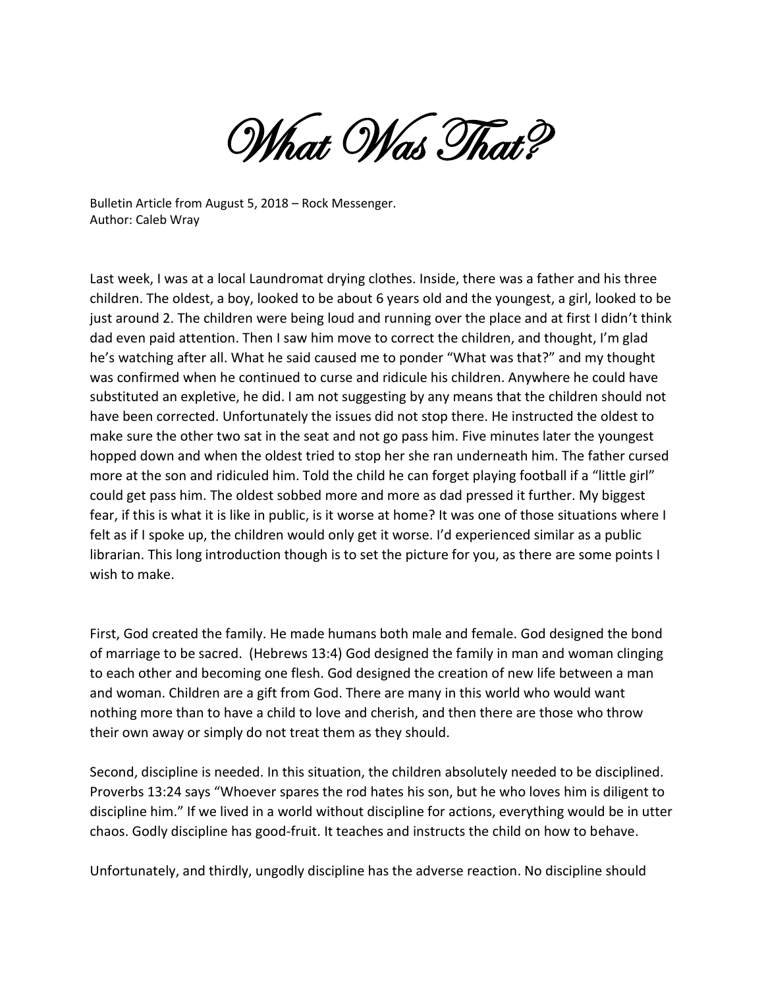What Was That?

Bulletin Article from August 5, 2018 – Rock Messenger. Author: Caleb Wray

Last week, I was at a local Laundromat drying clothes. Inside, there was a father and his three children. The oldest, a boy, looked to be about 6 years old and the youngest, a girl, looked to be just around 2. The children were being loud and running over the place and at first I didn't think dad even paid attention. Then I saw him move to correct the children, and thought, I'm glad he's watching after all. What he said caused me to ponder "What was that?" and my thought was confirmed when he continued to curse and ridicule his children. Anywhere he could have substituted an expletive, he did. I am not suggesting by any means that the children should not have been corrected. Unfortunately the issues did not stop there. He instructed the oldest to make sure the other two sat in the seat and not go pass him. Five minutes later the youngest hopped down and when the oldest tried to stop her she ran underneath him. The father cursed more at the son and ridiculed him. Told the child he can forget playing football if a "little girl" could get pass him. The oldest sobbed more and more as dad pressed it further. My biggest fear, if this is what it is like in public, is it worse at home? It was one of those situations where I felt as if I spoke up, the children would only get it worse. I'd experienced similar as a public librarian. This long introduction though is to set the picture for you, as there are some points I wish to make.

First, God created the family. He made humans both male and female. God designed the bond of marriage to be sacred. (Hebrews 13:4) God designed the family in man and woman clinging to each other and becoming one flesh. God designed the creation of new life between a man and woman. Children are a gift from God. There are many in this world who would want nothing more than to have a child to love and cherish, and then there are those who throw their own away or simply do not treat them as they should.

Second, discipline is needed. In this situation, the children absolutely needed to be disciplined. Proverbs 13:24 says "Whoever spares the rod hates his son, but he who loves him is diligent to discipline him." If we lived in a world without discipline for actions, everything would be in utter chaos. Godly discipline has good-fruit. It teaches and instructs the child on how to behave.

Unfortunately, and thirdly, ungodly discipline has the adverse reaction. No discipline should